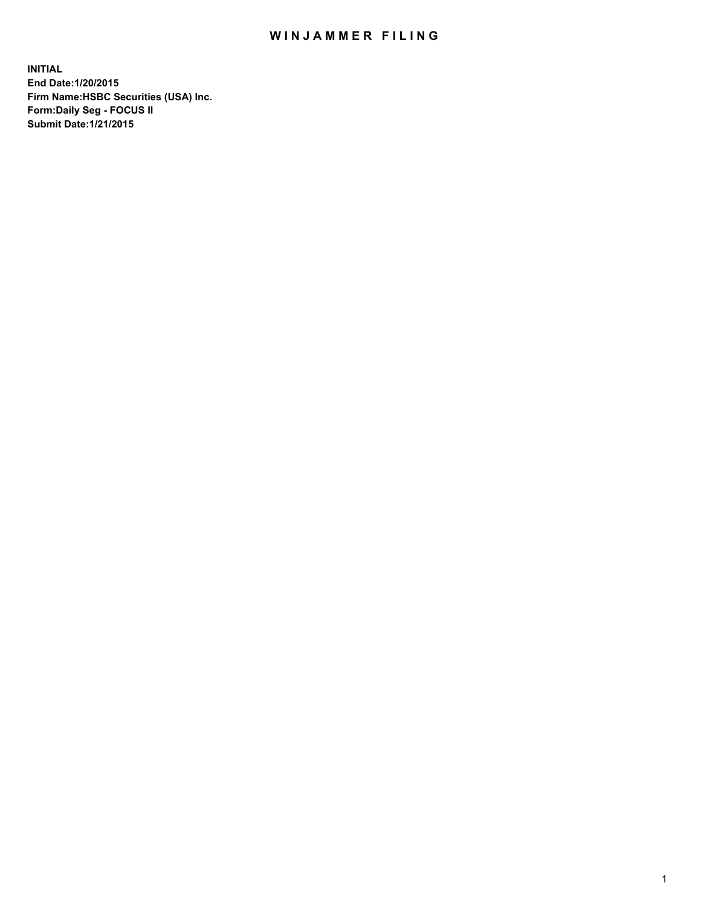## WIN JAMMER FILING

**INITIAL End Date:1/20/2015 Firm Name:HSBC Securities (USA) Inc. Form:Daily Seg - FOCUS II Submit Date:1/21/2015**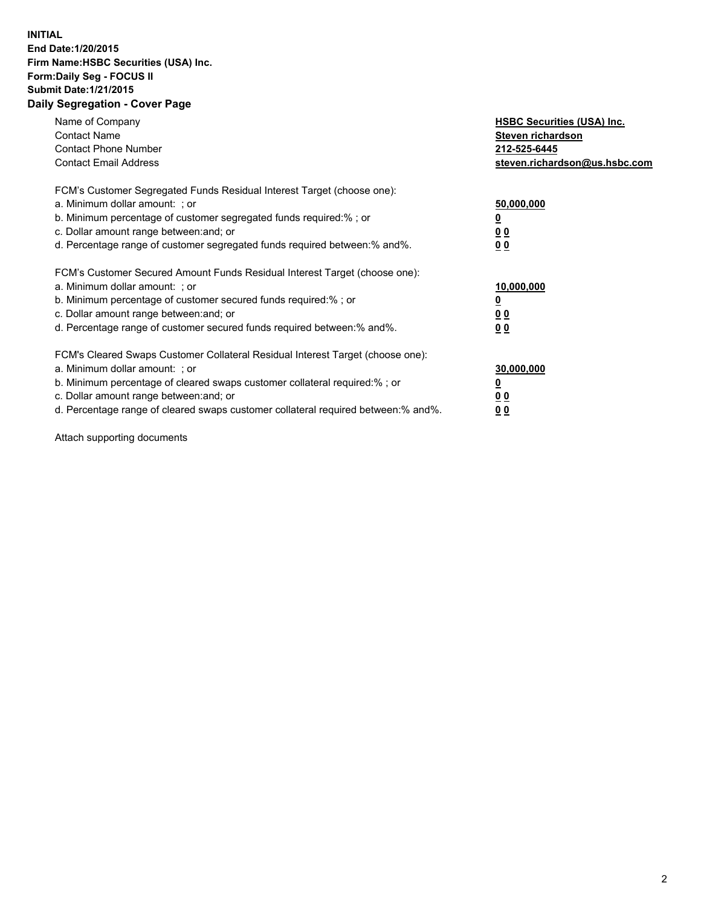## **INITIAL End Date:1/20/2015 Firm Name:HSBC Securities (USA) Inc. Form:Daily Seg - FOCUS II Submit Date:1/21/2015 Daily Segregation - Cover Page**

| Name of Company<br><b>Contact Name</b><br><b>Contact Phone Number</b><br><b>Contact Email Address</b>                                                                                                                                                                                                                         | <b>HSBC Securities (USA) Inc.</b><br>Steven richardson<br>212-525-6445<br>steven.richardson@us.hsbc.com |
|-------------------------------------------------------------------------------------------------------------------------------------------------------------------------------------------------------------------------------------------------------------------------------------------------------------------------------|---------------------------------------------------------------------------------------------------------|
| FCM's Customer Segregated Funds Residual Interest Target (choose one):<br>a. Minimum dollar amount: ; or<br>b. Minimum percentage of customer segregated funds required:%; or<br>c. Dollar amount range between: and; or<br>d. Percentage range of customer segregated funds required between:% and%.                         | 50,000,000<br>00<br>0 <sub>0</sub>                                                                      |
| FCM's Customer Secured Amount Funds Residual Interest Target (choose one):<br>a. Minimum dollar amount: ; or<br>b. Minimum percentage of customer secured funds required:%; or<br>c. Dollar amount range between: and; or<br>d. Percentage range of customer secured funds required between:% and%.                           | 10,000,000<br>0 <sub>0</sub><br>00                                                                      |
| FCM's Cleared Swaps Customer Collateral Residual Interest Target (choose one):<br>a. Minimum dollar amount: ; or<br>b. Minimum percentage of cleared swaps customer collateral required:%; or<br>c. Dollar amount range between: and; or<br>d. Percentage range of cleared swaps customer collateral required between:% and%. | 30,000,000<br><u>00</u><br><u>00</u>                                                                    |

Attach supporting documents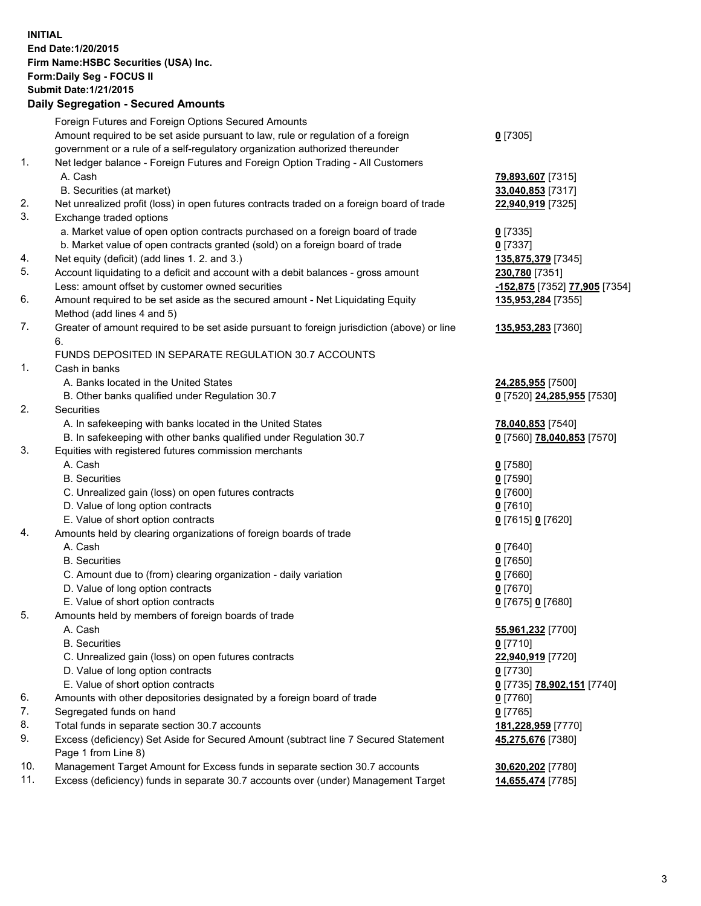**INITIAL End Date:1/20/2015 Firm Name:HSBC Securities (USA) Inc. Form:Daily Seg - FOCUS II Submit Date:1/21/2015 Daily Segregation - Secured Amounts** Foreign Futures and Foreign Options Secured Amounts Amount required to be set aside pursuant to law, rule or regulation of a foreign government or a rule of a self-regulatory organization authorized thereunder **0** [7305] 1. Net ledger balance - Foreign Futures and Foreign Option Trading - All Customers A. Cash **79,893,607** [7315] B. Securities (at market) **33,040,853** [7317] 2. Net unrealized profit (loss) in open futures contracts traded on a foreign board of trade **22,940,919** [7325] 3. Exchange traded options a. Market value of open option contracts purchased on a foreign board of trade **0** [7335] b. Market value of open contracts granted (sold) on a foreign board of trade **0** [7337] 4. Net equity (deficit) (add lines 1. 2. and 3.) **135,875,379** [7345] 5. Account liquidating to a deficit and account with a debit balances - gross amount **230,780** [7351] Less: amount offset by customer owned securities **-152,875** [7352] **77,905** [7354] 6. Amount required to be set aside as the secured amount - Net Liquidating Equity Method (add lines 4 and 5) **135,953,284** [7355] 7. Greater of amount required to be set aside pursuant to foreign jurisdiction (above) or line 6. **135,953,283** [7360] FUNDS DEPOSITED IN SEPARATE REGULATION 30.7 ACCOUNTS 1. Cash in banks A. Banks located in the United States **24,285,955** [7500] B. Other banks qualified under Regulation 30.7 **0** [7520] **24,285,955** [7530] 2. Securities A. In safekeeping with banks located in the United States **78,040,853** [7540] B. In safekeeping with other banks qualified under Regulation 30.7 **0** [7560] **78,040,853** [7570] 3. Equities with registered futures commission merchants A. Cash **0** [7580] B. Securities **0** [7590] C. Unrealized gain (loss) on open futures contracts **0** [7600] D. Value of long option contracts **0** [7610] E. Value of short option contracts **0** [7615] **0** [7620] 4. Amounts held by clearing organizations of foreign boards of trade A. Cash **0** [7640] B. Securities **0** [7650] C. Amount due to (from) clearing organization - daily variation **0** [7660] D. Value of long option contracts **0** [7670] E. Value of short option contracts **0** [7675] **0** [7680] 5. Amounts held by members of foreign boards of trade A. Cash **55,961,232** [7700] B. Securities **0** [7710] C. Unrealized gain (loss) on open futures contracts **22,940,919** [7720] D. Value of long option contracts **0** [7730] E. Value of short option contracts **0** [7735] **78,902,151** [7740]

- 6. Amounts with other depositories designated by a foreign board of trade **0** [7760]
- 7. Segregated funds on hand **0** [7765]
- 8. Total funds in separate section 30.7 accounts **181,228,959** [7770]
- 9. Excess (deficiency) Set Aside for Secured Amount (subtract line 7 Secured Statement Page 1 from Line 8)
- 10. Management Target Amount for Excess funds in separate section 30.7 accounts **30,620,202** [7780]
- 11. Excess (deficiency) funds in separate 30.7 accounts over (under) Management Target **14,655,474** [7785]

**45,275,676** [7380]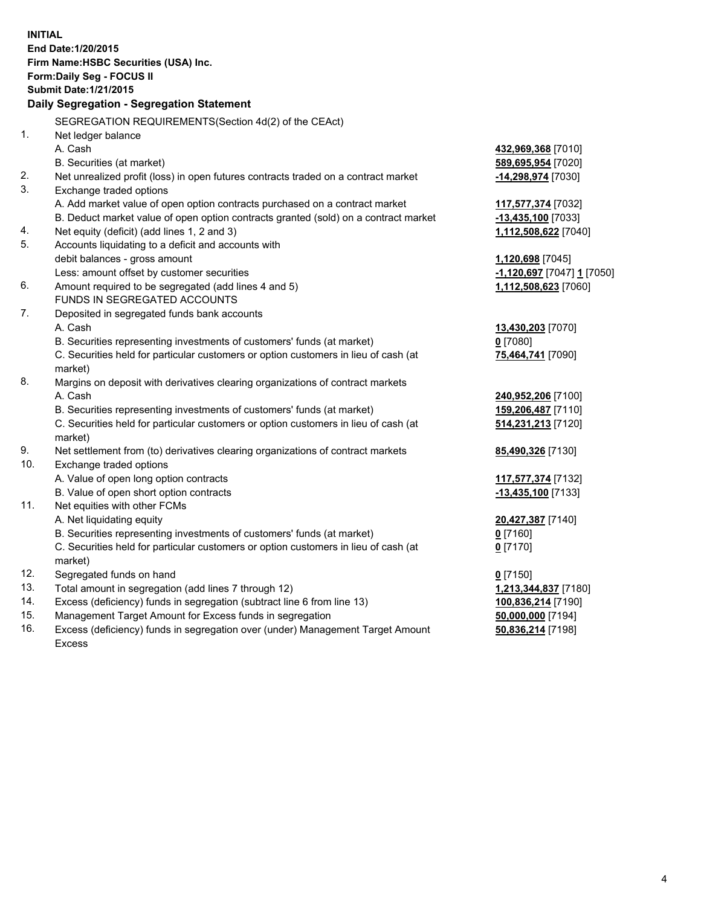|     | <b>INITIAL</b><br>End Date: 1/20/2015<br>Firm Name: HSBC Securities (USA) Inc.                 |                            |
|-----|------------------------------------------------------------------------------------------------|----------------------------|
|     | Form: Daily Seg - FOCUS II                                                                     |                            |
|     | <b>Submit Date: 1/21/2015</b>                                                                  |                            |
|     | Daily Segregation - Segregation Statement                                                      |                            |
|     | SEGREGATION REQUIREMENTS(Section 4d(2) of the CEAct)                                           |                            |
| 1.  | Net ledger balance                                                                             |                            |
|     | A. Cash                                                                                        | 432,969,368 [7010]         |
|     | B. Securities (at market)                                                                      | 589,695,954 [7020]         |
| 2.  | Net unrealized profit (loss) in open futures contracts traded on a contract market             | -14,298,974 [7030]         |
| 3.  | Exchange traded options                                                                        |                            |
|     | A. Add market value of open option contracts purchased on a contract market                    | 117,577,374 [7032]         |
|     | B. Deduct market value of open option contracts granted (sold) on a contract market            | $-13,435,100$ [7033]       |
| 4.  | Net equity (deficit) (add lines 1, 2 and 3)                                                    | 1,112,508,622 [7040]       |
| 5.  | Accounts liquidating to a deficit and accounts with                                            |                            |
|     | debit balances - gross amount                                                                  | 1,120,698 [7045]           |
|     | Less: amount offset by customer securities                                                     | -1,120,697 [7047] 1 [7050] |
| 6.  | Amount required to be segregated (add lines 4 and 5)                                           | 1,112,508,623 [7060]       |
|     | FUNDS IN SEGREGATED ACCOUNTS                                                                   |                            |
| 7.  | Deposited in segregated funds bank accounts                                                    |                            |
|     | A. Cash                                                                                        | 13,430,203 [7070]          |
|     | B. Securities representing investments of customers' funds (at market)                         | $0$ [7080]                 |
|     | C. Securities held for particular customers or option customers in lieu of cash (at<br>market) | 75,464,741 [7090]          |
| 8.  | Margins on deposit with derivatives clearing organizations of contract markets                 |                            |
|     | A. Cash                                                                                        | 240,952,206 [7100]         |
|     | B. Securities representing investments of customers' funds (at market)                         | 159,206,487 [7110]         |
|     | C. Securities held for particular customers or option customers in lieu of cash (at<br>market) | 514,231,213 [7120]         |
| 9.  | Net settlement from (to) derivatives clearing organizations of contract markets                | 85,490,326 [7130]          |
| 10. | Exchange traded options                                                                        |                            |
|     | A. Value of open long option contracts                                                         | 117,577,374 [7132]         |
|     | B. Value of open short option contracts                                                        | -13,435,100 [7133]         |
| 11. | Net equities with other FCMs                                                                   |                            |
|     | A. Net liquidating equity                                                                      | 20,427,387 [7140]          |
|     | B. Securities representing investments of customers' funds (at market)                         | $0$ [7160]                 |
|     | C. Securities held for particular customers or option customers in lieu of cash (at            | 0 <sup>[7170]</sup>        |
|     | market)                                                                                        |                            |
| 12. | Segregated funds on hand                                                                       | $0$ [7150]                 |
| 13. | Total amount in segregation (add lines 7 through 12)                                           | 1,213,344,837 [7180]       |
| 14. | Excess (deficiency) funds in segregation (subtract line 6 from line 13)                        | 100,836,214 [7190]         |
| 15. | Management Target Amount for Excess funds in segregation                                       | 50,000,000 [7194]          |
| 16. | Excess (deficiency) funds in segregation over (under) Management Target Amount                 | 50,836,214 [7198]          |

16. Excess (deficiency) funds in segregation over (under) Management Target Amount Excess